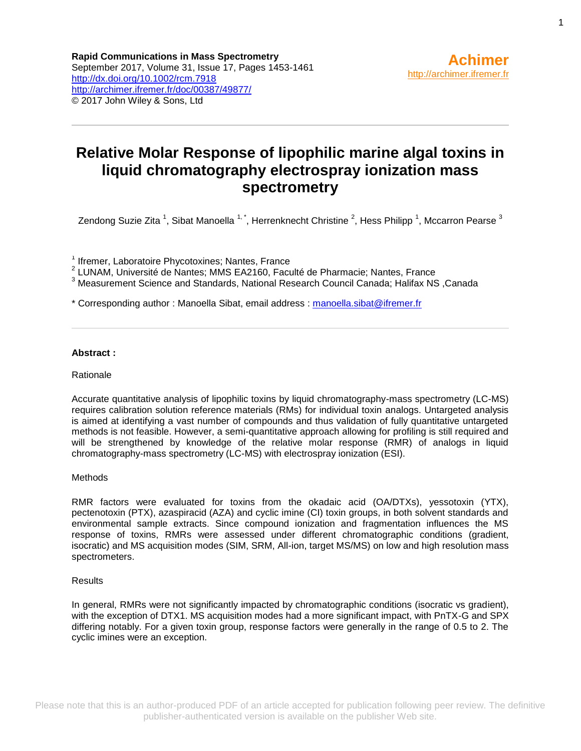# **Relative Molar Response of lipophilic marine algal toxins in liquid chromatography electrospray ionization mass spectrometry**

Zendong Suzie Zita <sup>1</sup>, Sibat Manoella <sup>1, \*</sup>, Herrenknecht Christine <sup>2</sup>, Hess Philipp <sup>1</sup>, Mccarron Pearse <sup>3</sup>

<sup>1</sup> Ifremer, Laboratoire Phycotoxines; Nantes, France

<sup>2</sup> LUNAM, Université de Nantes; MMS EA2160, Faculté de Pharmacie; Nantes, France

<sup>3</sup> Measurement Science and Standards, National Research Council Canada; Halifax NS, Canada

\* Corresponding author : Manoella Sibat, email address : [manoella.sibat@ifremer.fr](mailto:manoella.sibat@ifremer.fr)

### **Abstract :**

#### Rationale

Accurate quantitative analysis of lipophilic toxins by liquid chromatography-mass spectrometry (LC-MS) requires calibration solution reference materials (RMs) for individual toxin analogs. Untargeted analysis is aimed at identifying a vast number of compounds and thus validation of fully quantitative untargeted methods is not feasible. However, a semi-quantitative approach allowing for profiling is still required and will be strengthened by knowledge of the relative molar response (RMR) of analogs in liquid chromatography-mass spectrometry (LC-MS) with electrospray ionization (ESI).

### Methods

RMR factors were evaluated for toxins from the okadaic acid (OA/DTXs), yessotoxin (YTX), pectenotoxin (PTX), azaspiracid (AZA) and cyclic imine (CI) toxin groups, in both solvent standards and environmental sample extracts. Since compound ionization and fragmentation influences the MS response of toxins, RMRs were assessed under different chromatographic conditions (gradient, isocratic) and MS acquisition modes (SIM, SRM, All-ion, target MS/MS) on low and high resolution mass spectrometers.

### **Results**

In general, RMRs were not significantly impacted by chromatographic conditions (isocratic vs gradient), with the exception of DTX1. MS acquisition modes had a more significant impact, with PnTX-G and SPX differing notably. For a given toxin group, response factors were generally in the range of 0.5 to 2. The cyclic imines were an exception.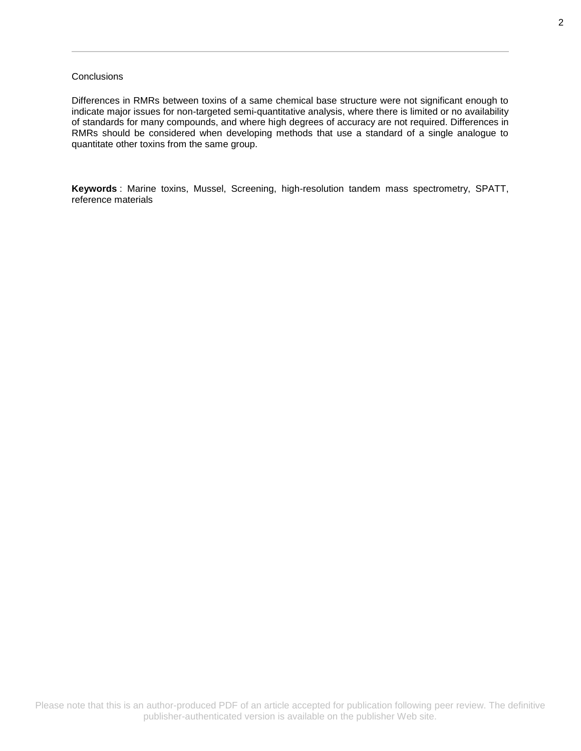### **Conclusions**

Differences in RMRs between toxins of a same chemical base structure were not significant enough to indicate major issues for non-targeted semi-quantitative analysis, where there is limited or no availability of standards for many compounds, and where high degrees of accuracy are not required. Differences in RMRs should be considered when developing methods that use a standard of a single analogue to quantitate other toxins from the same group.

**Keywords** : Marine toxins, Mussel, Screening, high-resolution tandem mass spectrometry, SPATT, reference materials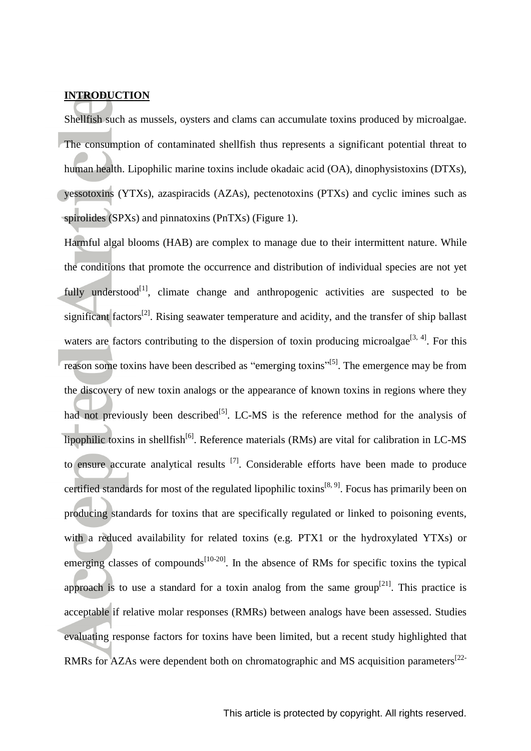### **INTRODUCTION**

Shellfish such as mussels, oysters and clams can accumulate toxins produced by microalgae. The consumption of contaminated shellfish thus represents a significant potential threat to human health. Lipophilic marine toxins include okadaic acid (OA), dinophysistoxins (DTXs), yessotoxins (YTXs), azaspiracids (AZAs), pectenotoxins (PTXs) and cyclic imines such as spirolides (SPXs) and pinnatoxins (PnTXs) (Figure 1).

Harmful algal blooms (HAB) are complex to manage due to their intermittent nature. While the conditions that promote the occurrence and distribution of individual species are not yet fully understood $[1]$ , climate change and anthropogenic activities are suspected to be significant factors<sup>[\[2\]](#page-15-1)</sup>. Rising seawater temperature and acidity, and the transfer of ship ballast waters are factors contributing to the dispersion of toxin producing microalgae<sup>[\[3,](#page-15-2) [4\]](#page-15-3)</sup>. For this reason some toxins have been described as "emerging toxins"<sup>[\[5\]](#page-15-4)</sup>. The emergence may be from the discovery of new toxin analogs or the appearance of known toxins in regions where they had not previously been described $[<sup>[5]</sup>$  $[<sup>[5]</sup>$  $[<sup>[5]</sup>$ . LC-MS is the reference method for the analysis of lipophilic toxins in shellfish<sup>[\[6\]](#page-15-5)</sup>. Reference materials (RMs) are vital for calibration in LC-MS to ensure accurate analytical results  $[7]$ . Considerable efforts have been made to produce certified standards for most of the regulated lipophilic toxins<sup>[\[8,](#page-15-7)9]</sup>. Focus has primarily been on producing standards for toxins that are specifically regulated or linked to poisoning events, with a reduced availability for related toxins (e.g. PTX1 or the hydroxylated YTXs) or emerging classes of compounds<sup>[\[10-20\]](#page-15-9)</sup>. In the absence of RMs for specific toxins the typical approach is to use a standard for a toxin analog from the same group<sup>[\[21\]](#page-15-10)</sup>. This practice is acceptable if relative molar responses (RMRs) between analogs have been assessed. Studies evaluating response factors for toxins have been limited, but a recent study highlighted that RMRs for AZAs were dependent both on chromatographic and MS acquisition parameters<sup>[\[22-](#page-15-11)</sup>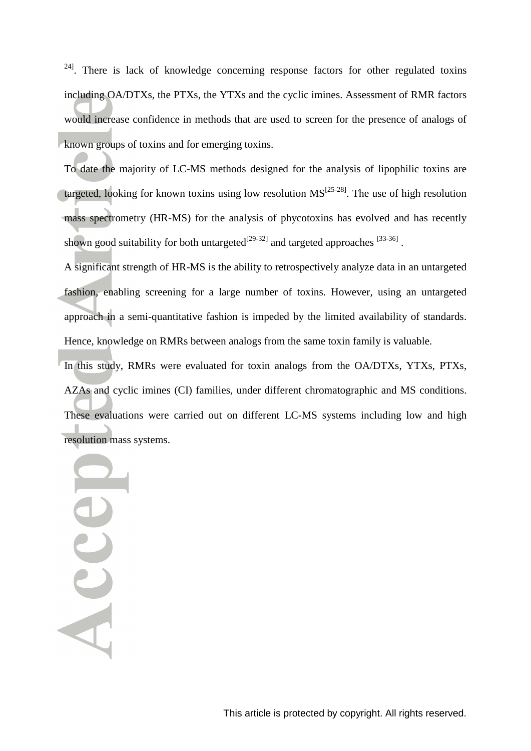$24$ . There is lack of knowledge concerning response factors for other regulated toxins including OA/DTXs, the PTXs, the YTXs and the cyclic imines. Assessment of RMR factors would increase confidence in methods that are used to screen for the presence of analogs of known groups of toxins and for emerging toxins.

To date the majority of LC-MS methods designed for the analysis of lipophilic toxins are targeted, looking for known toxins using low resolution  $MS^{[25-28]}$  $MS^{[25-28]}$  $MS^{[25-28]}$ . The use of high resolution mass spectrometry (HR-MS) for the analysis of phycotoxins has evolved and has recently shown good suitability for both untargeted<sup>[\[29-32\]](#page-16-1)</sup> and targeted approaches  $^{[33-36]}$  $^{[33-36]}$  $^{[33-36]}$ .

A significant strength of HR-MS is the ability to retrospectively analyze data in an untargeted fashion, enabling screening for a large number of toxins. However, using an untargeted approach in a semi-quantitative fashion is impeded by the limited availability of standards. Hence, knowledge on RMRs between analogs from the same toxin family is valuable.

In this study, RMRs were evaluated for toxin analogs from the OA/DTXs, YTXs, PTXs, AZAs and cyclic imines (CI) families, under different chromatographic and MS conditions. These evaluations were carried out on different LC-MS systems including low and high resolution mass systems.

Accel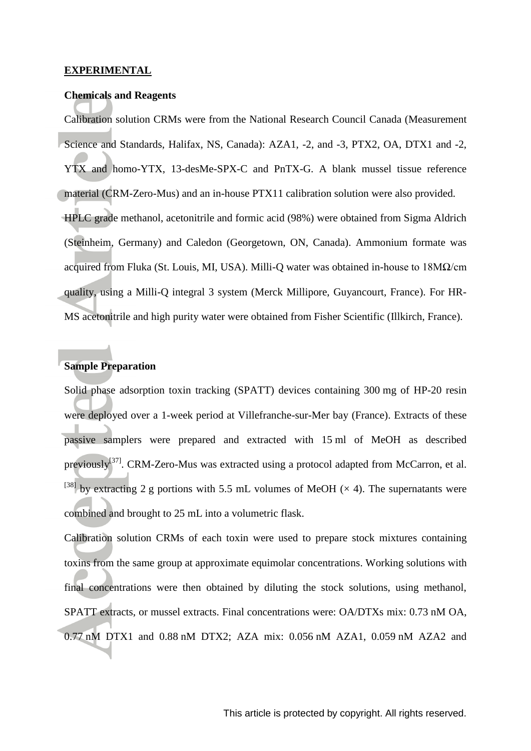### **EXPERIMENTAL**

### **Chemicals and Reagents**

Calibration solution CRMs were from the National Research Council Canada (Measurement Science and Standards, Halifax, NS, Canada): AZA1, -2, and -3, PTX2, OA, DTX1 and -2, YTX and homo-YTX, 13-desMe-SPX-C and PnTX-G. A blank mussel tissue reference material (CRM-Zero-Mus) and an in-house PTX11 calibration solution were also provided. HPLC grade methanol, acetonitrile and formic acid (98%) were obtained from Sigma Aldrich (Steinheim, Germany) and Caledon (Georgetown, ON, Canada). Ammonium formate was acquired from Fluka (St. Louis, MI, USA). Milli-Q water was obtained in-house to 18MΩ/cm quality, using a Milli-Q integral 3 system (Merck Millipore, Guyancourt, France). For HR-MS acetonitrile and high purity water were obtained from Fisher Scientific (Illkirch, France).

### **Sample Preparation**

Solid phase adsorption toxin tracking (SPATT) devices containing 300 mg of HP-20 resin were deployed over a 1-week period at Villefranche-sur-Mer bay (France). Extracts of these passive samplers were prepared and extracted with 15 ml of MeOH as described previously<sup>[\[37\]](#page-16-3)</sup>. CRM-Zero-Mus was extracted using a protocol adapted from McCarron, et al. <sup>[38]</sup> by extracting 2 g portions with 5.5 mL volumes of MeOH ( $\times$  4). The supernatants were combined and brought to 25 mL into a volumetric flask.

Calibration solution CRMs of each toxin were used to prepare stock mixtures containing toxins from the same group at approximate equimolar concentrations. Working solutions with final concentrations were then obtained by diluting the stock solutions, using methanol, SPATT extracts, or mussel extracts. Final concentrations were: OA/DTXs mix: 0.73 nM OA, 0.77 nM DTX1 and 0.88 nM DTX2; AZA mix: 0.056 nM AZA1, 0.059 nM AZA2 and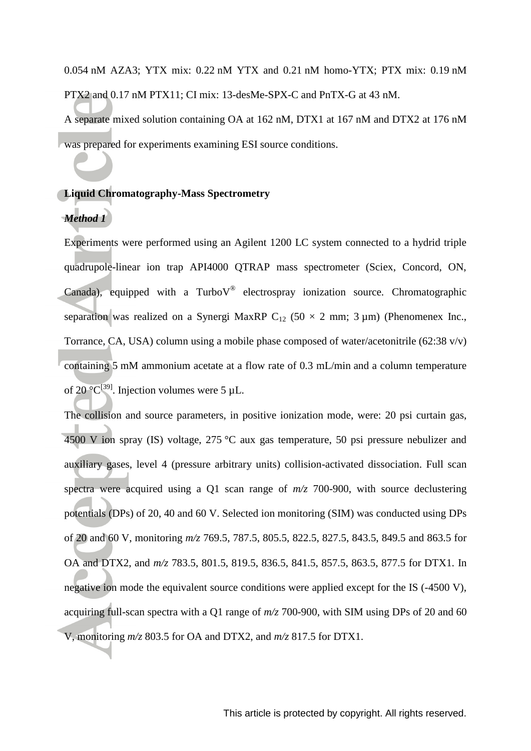0.054 nM AZA3; YTX mix: 0.22 nM YTX and 0.21 nM homo-YTX; PTX mix: 0.19 nM PTX2 and 0.17 nM PTX11; CI mix: 13-desMe-SPX-C and PnTX-G at 43 nM.

A separate mixed solution containing OA at 162 nM, DTX1 at 167 nM and DTX2 at 176 nM was prepared for experiments examining ESI source conditions.

### **Liquid Chromatography-Mass Spectrometry**

### *Method 1*

Experiments were performed using an Agilent 1200 LC system connected to a hydrid triple quadrupole-linear ion trap API4000 QTRAP mass spectrometer (Sciex, Concord, ON, Canada), equipped with a Turbo $V^{\circledast}$  electrospray ionization source. Chromatographic separation was realized on a Synergi MaxRP  $C_{12}$  (50  $\times$  2 mm; 3 µm) (Phenomenex Inc., Torrance, CA, USA) column using a mobile phase composed of water/acetonitrile (62:38 v/v) containing 5 mM ammonium acetate at a flow rate of 0.3 mL/min and a column temperature of 20  $^{\circ}C^{[39]}$  $^{\circ}C^{[39]}$  $^{\circ}C^{[39]}$ . Injection volumes were 5 µL.

The collision and source parameters, in positive ionization mode, were: 20 psi curtain gas, 4500 V ion spray (IS) voltage, 275 °C aux gas temperature, 50 psi pressure nebulizer and auxiliary gases, level 4 (pressure arbitrary units) collision-activated dissociation. Full scan spectra were acquired using a Q1 scan range of *m/z* 700-900, with source declustering potentials (DPs) of 20, 40 and 60 V. Selected ion monitoring (SIM) was conducted using DPs of 20 and 60 V, monitoring *m/z* 769.5, 787.5, 805.5, 822.5, 827.5, 843.5, 849.5 and 863.5 for OA and DTX2, and *m/z* 783.5, 801.5, 819.5, 836.5, 841.5, 857.5, 863.5, 877.5 for DTX1. In negative ion mode the equivalent source conditions were applied except for the IS (-4500 V), acquiring full-scan spectra with a Q1 range of *m/z* 700-900, with SIM using DPs of 20 and 60 V, monitoring *m/z* 803.5 for OA and DTX2, and *m/z* 817.5 for DTX1.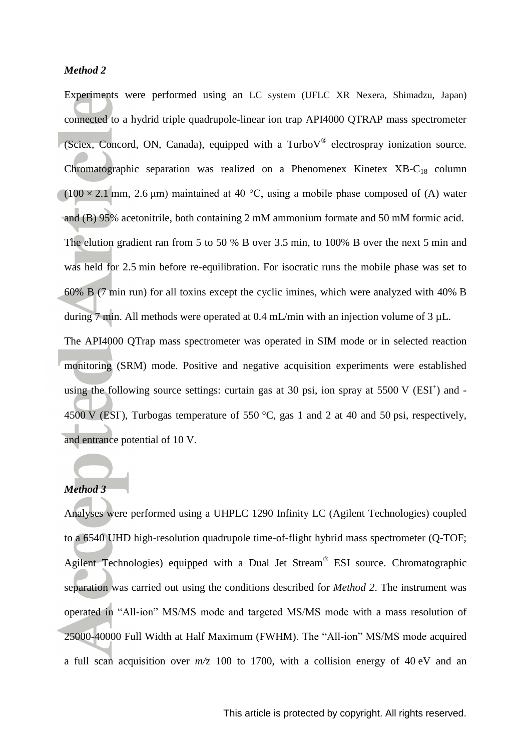### *Method 2*

Experiments were performed using an LC system (UFLC XR Nexera, Shimadzu, Japan) connected to a hydrid triple quadrupole-linear ion trap API4000 QTRAP mass spectrometer (Sciex, Concord, ON, Canada), equipped with a Turbo $V^{\circledast}$  electrospray ionization source. Chromatographic separation was realized on a Phenomenex Kinetex  $XB-C_{18}$  column  $(100 \times 2.1 \text{ mm}, 2.6 \text{ }\mu\text{m})$  maintained at 40 °C, using a mobile phase composed of (A) water and (B) 95% acetonitrile, both containing 2 mM ammonium formate and 50 mM formic acid. The elution gradient ran from 5 to 50 % B over 3.5 min, to 100% B over the next 5 min and was held for 2.5 min before re-equilibration. For isocratic runs the mobile phase was set to 60% B (7 min run) for all toxins except the cyclic imines, which were analyzed with 40% B during 7 min. All methods were operated at 0.4 mL/min with an injection volume of 3  $\mu$ L. The API4000 QTrap mass spectrometer was operated in SIM mode or in selected reaction monitoring (SRM) mode. Positive and negative acquisition experiments were established using the following source settings: curtain gas at 30 psi, ion spray at  $5500 \text{ V}$  (ESI<sup>+</sup>) and -4500 V (ESI), Turbogas temperature of 550 °C, gas 1 and 2 at 40 and 50 psi, respectively, and entrance potential of 10 V.

## *Method 3*

Analyses were performed using a UHPLC 1290 Infinity LC (Agilent Technologies) coupled to a 6540 UHD high-resolution quadrupole time-of-flight hybrid mass spectrometer (Q-TOF; Agilent Technologies) equipped with a Dual Jet Stream® ESI source. Chromatographic separation was carried out using the conditions described for *Method 2*. The instrument was operated in "All-ion" MS/MS mode and targeted MS/MS mode with a mass resolution of 25000-40000 Full Width at Half Maximum (FWHM). The "All-ion" MS/MS mode acquired a full scan acquisition over *m/*z 100 to 1700, with a collision energy of 40 eV and an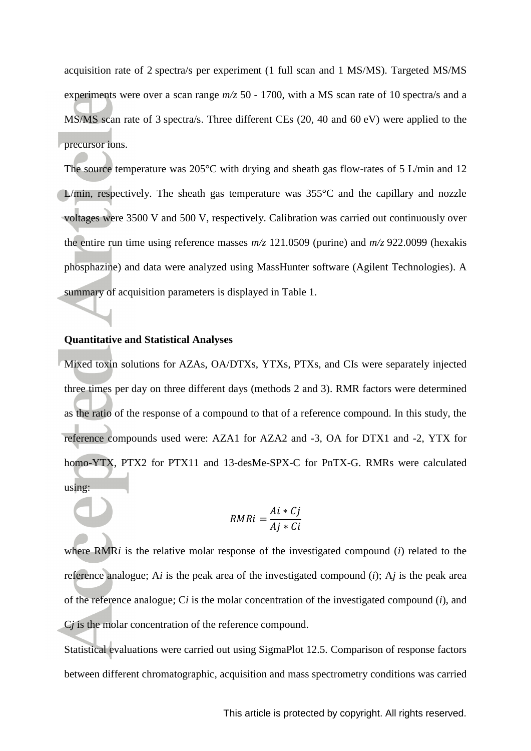acquisition rate of 2 spectra/s per experiment (1 full scan and 1 MS/MS). Targeted MS/MS experiments were over a scan range *m/z* 50 - 1700, with a MS scan rate of 10 spectra/s and a MS/MS scan rate of 3 spectra/s. Three different CEs (20, 40 and 60 eV) were applied to the precursor ions.

The source temperature was 205°C with drying and sheath gas flow-rates of 5 L/min and 12 L/min, respectively. The sheath gas temperature was  $355^{\circ}$ C and the capillary and nozzle voltages were 3500 V and 500 V, respectively. Calibration was carried out continuously over the entire run time using reference masses *m/z* 121.0509 (purine) and *m/z* 922.0099 (hexakis phosphazine) and data were analyzed using MassHunter software (Agilent Technologies). A summary of acquisition parameters is displayed in Table 1.

### **Quantitative and Statistical Analyses**

Mixed toxin solutions for AZAs, OA/DTXs, YTXs, PTXs, and CIs were separately injected three times per day on three different days (methods 2 and 3). RMR factors were determined as the ratio of the response of a compound to that of a reference compound. In this study, the reference compounds used were: AZA1 for AZA2 and -3, OA for DTX1 and -2, YTX for homo-YTX, PTX2 for PTX11 and 13-desMe-SPX-C for PnTX-G. RMRs were calculated using:

$$
RMRi = \frac{Ai * Cj}{Aj * Ci}
$$

where RMR*i* is the relative molar response of the investigated compound (*i*) related to the reference analogue; A*i* is the peak area of the investigated compound (*i*); A*j* is the peak area of the reference analogue; C*i* is the molar concentration of the investigated compound (*i*), and C*j* is the molar concentration of the reference compound.

Statistical evaluations were carried out using SigmaPlot 12.5. Comparison of response factors between different chromatographic, acquisition and mass spectrometry conditions was carried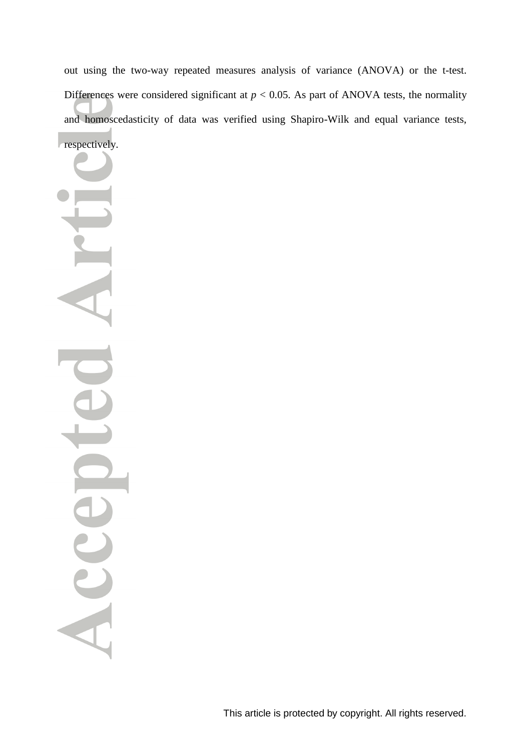out using the two-way repeated measures analysis of variance (ANOVA) or the t-test. Differences were considered significant at  $p < 0.05$ . As part of ANOVA tests, the normality and homoscedasticity of data was verified using Shapiro-Wilk and equal variance tests, respectively.

Acc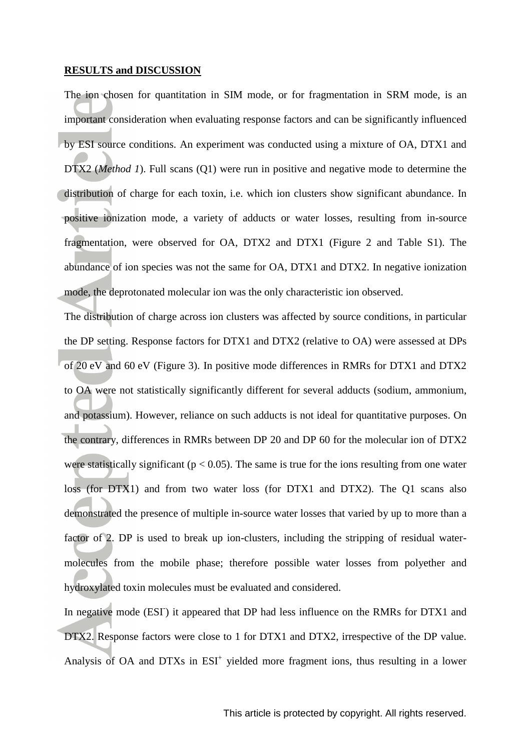### **RESULTS and DISCUSSION**

The ion chosen for quantitation in SIM mode, or for fragmentation in SRM mode, is an important consideration when evaluating response factors and can be significantly influenced by ESI source conditions. An experiment was conducted using a mixture of OA, DTX1 and DTX2 (*Method 1*). Full scans (Q1) were run in positive and negative mode to determine the distribution of charge for each toxin, i.e. which ion clusters show significant abundance. In positive ionization mode, a variety of adducts or water losses, resulting from in-source fragmentation, were observed for OA, DTX2 and DTX1 (Figure 2 and Table S1). The abundance of ion species was not the same for OA, DTX1 and DTX2. In negative ionization mode, the deprotonated molecular ion was the only characteristic ion observed.

The distribution of charge across ion clusters was affected by source conditions, in particular the DP setting. Response factors for DTX1 and DTX2 (relative to OA) were assessed at DPs of 20 eV and 60 eV (Figure 3). In positive mode differences in RMRs for DTX1 and DTX2 to OA were not statistically significantly different for several adducts (sodium, ammonium, and potassium). However, reliance on such adducts is not ideal for quantitative purposes. On the contrary, differences in RMRs between DP 20 and DP 60 for the molecular ion of DTX2 were statistically significant ( $p < 0.05$ ). The same is true for the ions resulting from one water loss (for DTX1) and from two water loss (for DTX1 and DTX2). The Q1 scans also demonstrated the presence of multiple in-source water losses that varied by up to more than a factor of 2. DP is used to break up ion-clusters, including the stripping of residual watermolecules from the mobile phase; therefore possible water losses from polyether and hydroxylated toxin molecules must be evaluated and considered.

In negative mode (ESI) it appeared that DP had less influence on the RMRs for DTX1 and DTX2. Response factors were close to 1 for DTX1 and DTX2, irrespective of the DP value. Analysis of OA and DTXs in ESI<sup>+</sup> yielded more fragment ions, thus resulting in a lower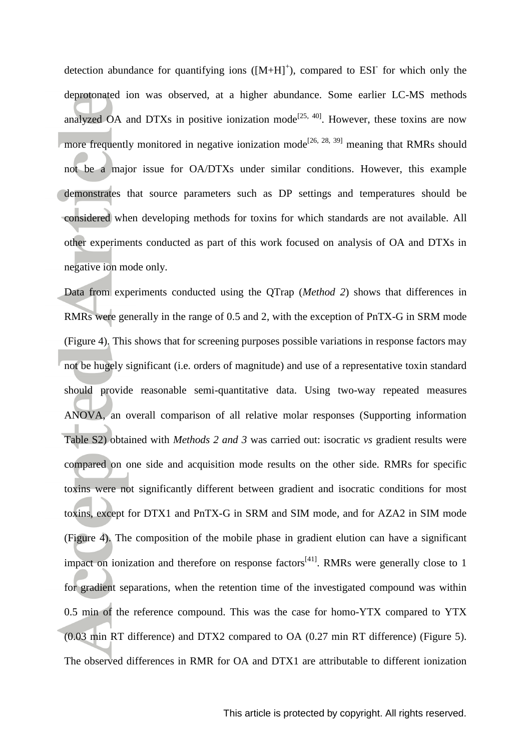detection abundance for quantifying ions  $([M+H]^+)$ , compared to ESI for which only the deprotonated ion was observed, at a higher abundance. Some earlier LC-MS methods analyzed OA and DTXs in positive ionization mode<sup>[\[25,](#page-16-0) [40\]](#page-16-6)</sup>. However, these toxins are now more frequently monitored in negative ionization mode<sup>[\[26,](#page-16-7) [28,](#page-16-8) [39\]](#page-16-5)</sup> meaning that RMRs should not be a major issue for OA/DTXs under similar conditions. However, this example demonstrates that source parameters such as DP settings and temperatures should be considered when developing methods for toxins for which standards are not available. All other experiments conducted as part of this work focused on analysis of OA and DTXs in negative ion mode only.

Data from experiments conducted using the QTrap (*Method 2*) shows that differences in RMRs were generally in the range of 0.5 and 2, with the exception of PnTX-G in SRM mode (Figure 4). This shows that for screening purposes possible variations in response factors may not be hugely significant (i.e. orders of magnitude) and use of a representative toxin standard should provide reasonable semi-quantitative data. Using two-way repeated measures ANOVA, an overall comparison of all relative molar responses (Supporting information Table S2) obtained with *Methods 2 and 3* was carried out: isocratic *vs* gradient results were compared on one side and acquisition mode results on the other side. RMRs for specific toxins were not significantly different between gradient and isocratic conditions for most toxins, except for DTX1 and PnTX-G in SRM and SIM mode, and for AZA2 in SIM mode (Figure 4). The composition of the mobile phase in gradient elution can have a significant impact on ionization and therefore on response  $factors^{[41]}$  $factors^{[41]}$  $factors^{[41]}$ . RMRs were generally close to 1 for gradient separations, when the retention time of the investigated compound was within 0.5 min of the reference compound. This was the case for homo-YTX compared to YTX (0.03 min RT difference) and DTX2 compared to OA (0.27 min RT difference) (Figure 5). The observed differences in RMR for OA and DTX1 are attributable to different ionization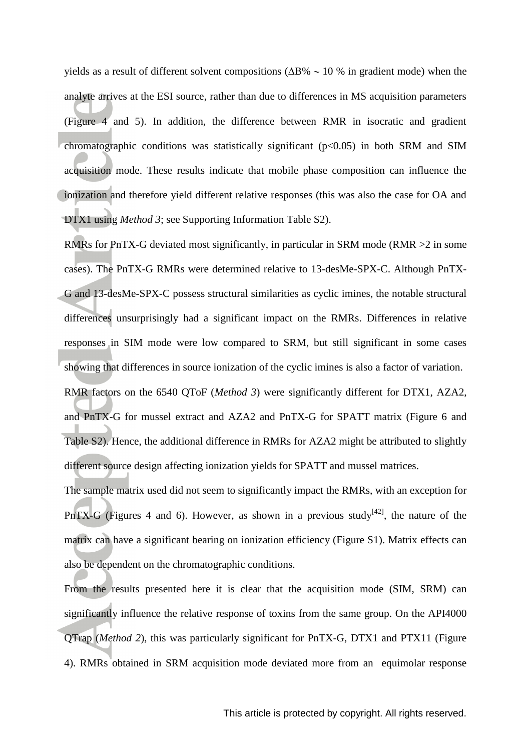yields as a result of different solvent compositions ( $\Delta B\% \sim 10\%$  in gradient mode) when the analyte arrives at the ESI source, rather than due to differences in MS acquisition parameters (Figure 4 and 5). In addition, the difference between RMR in isocratic and gradient chromatographic conditions was statistically significant  $(p<0.05)$  in both SRM and SIM acquisition mode. These results indicate that mobile phase composition can influence the ionization and therefore yield different relative responses (this was also the case for OA and DTX1 using *Method 3*; see Supporting Information Table S2).

RMRs for PnTX-G deviated most significantly, in particular in SRM mode (RMR >2 in some cases). The PnTX-G RMRs were determined relative to 13-desMe-SPX-C. Although PnTX-G and 13-desMe-SPX-C possess structural similarities as cyclic imines, the notable structural differences unsurprisingly had a significant impact on the RMRs. Differences in relative responses in SIM mode were low compared to SRM, but still significant in some cases showing that differences in source ionization of the cyclic imines is also a factor of variation.

RMR factors on the 6540 QToF (*Method 3*) were significantly different for DTX1, AZA2, and PnTX-G for mussel extract and AZA2 and PnTX-G for SPATT matrix (Figure 6 and Table S2). Hence, the additional difference in RMRs for AZA2 might be attributed to slightly different source design affecting ionization yields for SPATT and mussel matrices.

The sample matrix used did not seem to significantly impact the RMRs, with an exception for PnTX-G (Figures 4 and 6). However, as shown in a previous study<sup>[\[42\]](#page-16-10)</sup>, the nature of the matrix can have a significant bearing on ionization efficiency (Figure S1). Matrix effects can also be dependent on the chromatographic conditions.

From the results presented here it is clear that the acquisition mode (SIM, SRM) can significantly influence the relative response of toxins from the same group. On the API4000 QTrap (*Method 2*), this was particularly significant for PnTX-G, DTX1 and PTX11 (Figure 4). RMRs obtained in SRM acquisition mode deviated more from an equimolar response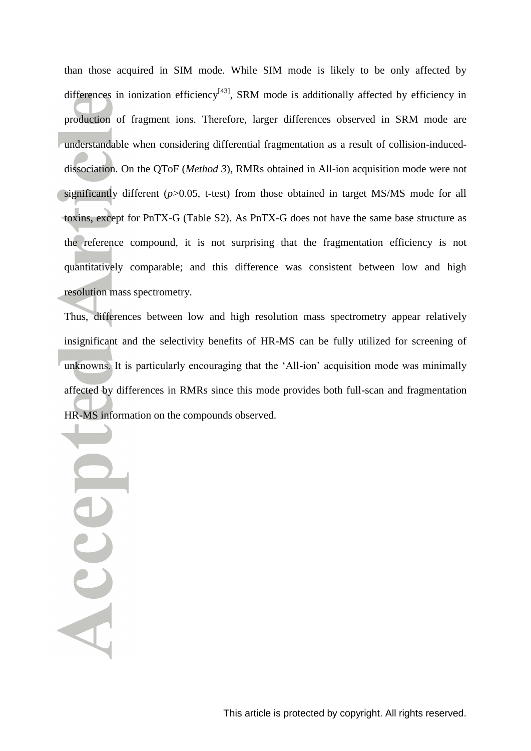than those acquired in SIM mode. While SIM mode is likely to be only affected by differences in ionization efficiency<sup>[\[43\]](#page-16-11)</sup>, SRM mode is additionally affected by efficiency in production of fragment ions. Therefore, larger differences observed in SRM mode are understandable when considering differential fragmentation as a result of collision-induceddissociation. On the QToF (*Method 3*), RMRs obtained in All-ion acquisition mode were not significantly different (*p*>0.05, t-test) from those obtained in target MS/MS mode for all toxins, except for PnTX-G (Table S2). As PnTX-G does not have the same base structure as the reference compound, it is not surprising that the fragmentation efficiency is not quantitatively comparable; and this difference was consistent between low and high resolution mass spectrometry.

Thus, differences between low and high resolution mass spectrometry appear relatively insignificant and the selectivity benefits of HR-MS can be fully utilized for screening of unknowns. It is particularly encouraging that the 'All-ion' acquisition mode was minimally affected by differences in RMRs since this mode provides both full-scan and fragmentation HR-MS information on the compounds observed.

Accel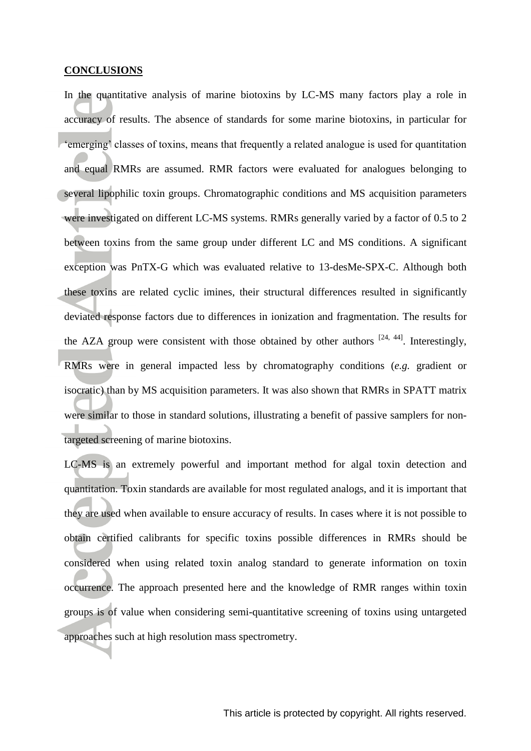### **CONCLUSIONS**

In the quantitative analysis of marine biotoxins by LC-MS many factors play a role in accuracy of results. The absence of standards for some marine biotoxins, in particular for 'emerging' classes of toxins, means that frequently a related analogue is used for quantitation and equal RMRs are assumed. RMR factors were evaluated for analogues belonging to several lipophilic toxin groups. Chromatographic conditions and MS acquisition parameters were investigated on different LC-MS systems. RMRs generally varied by a factor of 0.5 to 2 between toxins from the same group under different LC and MS conditions. A significant exception was PnTX-G which was evaluated relative to 13-desMe-SPX-C. Although both these toxins are related cyclic imines, their structural differences resulted in significantly deviated response factors due to differences in ionization and fragmentation. The results for the AZA group were consistent with those obtained by other authors  $[24, 44]$  $[24, 44]$ . Interestingly, RMRs were in general impacted less by chromatography conditions (*e.g.* gradient or isocratic) than by MS acquisition parameters. It was also shown that RMRs in SPATT matrix were similar to those in standard solutions, illustrating a benefit of passive samplers for nontargeted screening of marine biotoxins.

LC-MS is an extremely powerful and important method for algal toxin detection and quantitation. Toxin standards are available for most regulated analogs, and it is important that they are used when available to ensure accuracy of results. In cases where it is not possible to obtain certified calibrants for specific toxins possible differences in RMRs should be considered when using related toxin analog standard to generate information on toxin occurrence. The approach presented here and the knowledge of RMR ranges within toxin groups is of value when considering semi-quantitative screening of toxins using untargeted approaches such at high resolution mass spectrometry.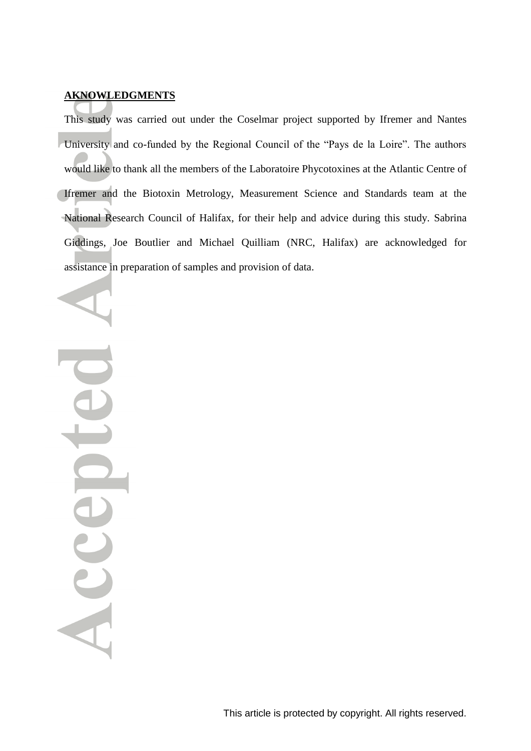### **AKNOWLEDGMENTS**

This study was carried out under the Coselmar project supported by Ifremer and Nantes University and co-funded by the Regional Council of the "Pays de la Loire". The authors would like to thank all the members of the Laboratoire Phycotoxines at the Atlantic Centre of Ifremer and the Biotoxin Metrology, Measurement Science and Standards team at the National Research Council of Halifax, for their help and advice during this study. Sabrina Giddings, Joe Boutlier and Michael Quilliam (NRC, Halifax) are acknowledged for assistance in preparation of samples and provision of data.

Sccep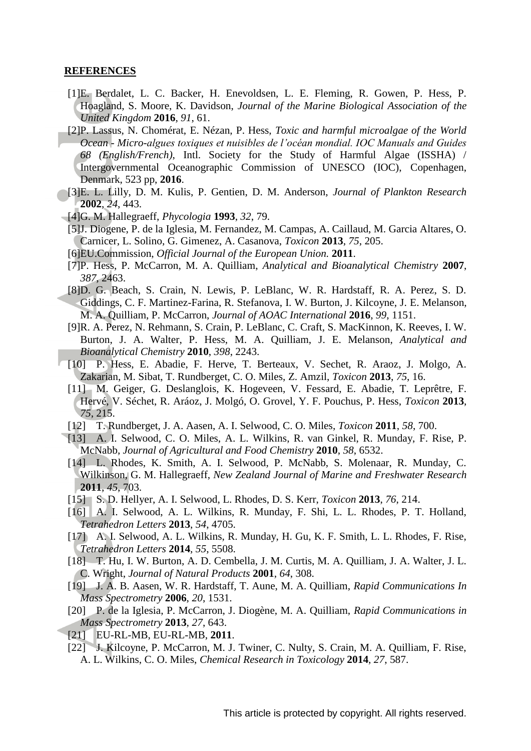### **REFERENCES**

- <span id="page-15-0"></span>[1]E. Berdalet, L. C. Backer, H. Enevoldsen, L. E. Fleming, R. Gowen, P. Hess, P. Hoagland, S. Moore, K. Davidson, *Journal of the Marine Biological Association of the United Kingdom* **2016**, *91*, 61.
- <span id="page-15-1"></span>[2]P. Lassus, N. Chomérat, E. Nézan, P. Hess, *Toxic and harmful microalgae of the World Ocean - Micro-algues toxiques et nuisibles de l'océan mondial. IOC Manuals and Guides 68 (English/French)*, Intl. Society for the Study of Harmful Algae (ISSHA) / Intergovernmental Oceanographic Commission of UNESCO (IOC), Copenhagen, Denmark, 523 pp, **2016**.
- <span id="page-15-2"></span>[3]E. L. Lilly, D. M. Kulis, P. Gentien, D. M. Anderson, *Journal of Plankton Research*  **2002**, *24*, 443.
- <span id="page-15-3"></span>[4]G. M. Hallegraeff, *Phycologia* **1993**, *32*, 79.
- <span id="page-15-4"></span>[5]J. Diogene, P. de la Iglesia, M. Fernandez, M. Campas, A. Caillaud, M. Garcia Altares, O. Carnicer, L. Solino, G. Gimenez, A. Casanova, *Toxicon* **2013**, *75*, 205.
- <span id="page-15-5"></span>[6]EU.Commission, *Official Journal of the European Union.* **2011**.
- <span id="page-15-6"></span>[7]P. Hess, P. McCarron, M. A. Quilliam, *Analytical and Bioanalytical Chemistry* **2007**, *387*, 2463.
- <span id="page-15-7"></span>[8]D. G. Beach, S. Crain, N. Lewis, P. LeBlanc, W. R. Hardstaff, R. A. Perez, S. D. Giddings, C. F. Martinez-Farina, R. Stefanova, I. W. Burton, J. Kilcoyne, J. E. Melanson, M. A. Quilliam, P. McCarron, *Journal of AOAC International* **2016**, *99*, 1151.
- <span id="page-15-8"></span>[9]R. A. Perez, N. Rehmann, S. Crain, P. LeBlanc, C. Craft, S. MacKinnon, K. Reeves, I. W. Burton, J. A. Walter, P. Hess, M. A. Quilliam, J. E. Melanson, *Analytical and Bioanalytical Chemistry* **2010**, *398*, 2243.
- <span id="page-15-9"></span>[10] P. Hess, E. Abadie, F. Herve, T. Berteaux, V. Sechet, R. Araoz, J. Molgo, A. Zakarian, M. Sibat, T. Rundberget, C. O. Miles, Z. Amzil, *Toxicon* **2013**, *75*, 16.
- [11] M. Geiger, G. Deslanglois, K. Hogeveen, V. Fessard, E. Abadie, T. Leprêtre, F. Hervé, V. Séchet, R. Aráoz, J. Molgó, O. Grovel, Y. F. Pouchus, P. Hess, *Toxicon* **2013**, *75*, 215.
- [12] T. Rundberget, J. A. Aasen, A. I. Selwood, C. O. Miles, *Toxicon* **2011**, *58*, 700.
- [13] A. I. Selwood, C. O. Miles, A. L. Wilkins, R. van Ginkel, R. Munday, F. Rise, P. McNabb, *Journal of Agricultural and Food Chemistry* **2010**, *58*, 6532.
- [14] L. Rhodes, K. Smith, A. I. Selwood, P. McNabb, S. Molenaar, R. Munday, C. Wilkinson, G. M. Hallegraeff, *New Zealand Journal of Marine and Freshwater Research*  **2011**, *45*, 703.
- [15] S. D. Hellyer, A. I. Selwood, L. Rhodes, D. S. Kerr, *Toxicon* **2013**, *76*, 214.
- [16] A. I. Selwood, A. L. Wilkins, R. Munday, F. Shi, L. L. Rhodes, P. T. Holland, *Tetrahedron Letters* **2013**, *54*, 4705.
- [17] A. I. Selwood, A. L. Wilkins, R. Munday, H. Gu, K. F. Smith, L. L. Rhodes, F. Rise, *Tetrahedron Letters* **2014**, *55*, 5508.
- [18] T. Hu, I. W. Burton, A. D. Cembella, J. M. Curtis, M. A. Quilliam, J. A. Walter, J. L. C. Wright, *Journal of Natural Products* **2001**, *64*, 308.
- [19] J. A. B. Aasen, W. R. Hardstaff, T. Aune, M. A. Quilliam, *Rapid Communications In Mass Spectrometry* **2006**, *20*, 1531.
- [20] P. de la Iglesia, P. McCarron, J. Diogène, M. A. Quilliam, *Rapid Communications in Mass Spectrometry* **2013**, *27*, 643.
- <span id="page-15-10"></span>[21] EU-RL-MB, EU-RL-MB, **2011**.
- <span id="page-15-11"></span>[22] J. Kilcoyne, P. McCarron, M. J. Twiner, C. Nulty, S. Crain, M. A. Quilliam, F. Rise, A. L. Wilkins, C. O. Miles, *Chemical Research in Toxicology* **2014**, *27*, 587.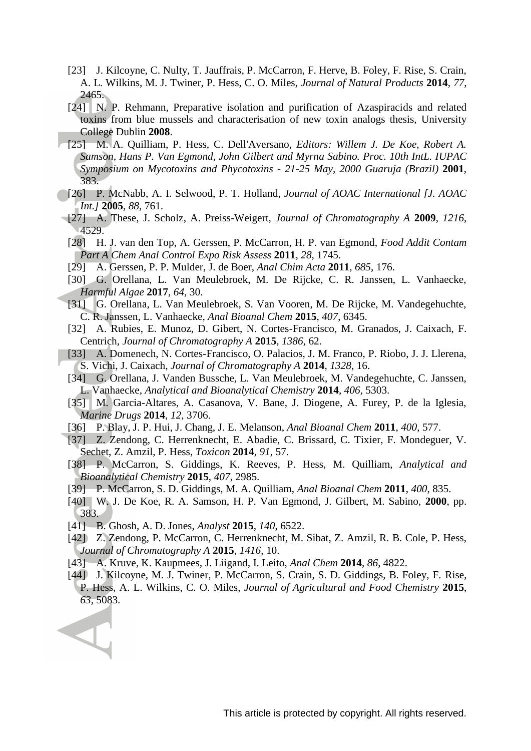- [23] J. Kilcoyne, C. Nulty, T. Jauffrais, P. McCarron, F. Herve, B. Foley, F. Rise, S. Crain, A. L. Wilkins, M. J. Twiner, P. Hess, C. O. Miles, *Journal of Natural Products* **2014**, *77*, 2465.
- <span id="page-16-12"></span>[24] N. P. Rehmann, Preparative isolation and purification of Azaspiracids and related toxins from blue mussels and characterisation of new toxin analogs thesis, University College Dublin **2008**.
- <span id="page-16-0"></span>[25] M. A. Quilliam, P. Hess, C. Dell'Aversano, *Editors: Willem J. De Koe, Robert A. Samson, Hans P. Van Egmond, John Gilbert and Myrna Sabino. Proc. 10th IntL. IUPAC Symposium on Mycotoxins and Phycotoxins - 21-25 May, 2000 Guaruja (Brazil)* **2001**, 383.
- <span id="page-16-7"></span>[26] P. McNabb, A. I. Selwood, P. T. Holland, *Journal of AOAC International [J. AOAC Int.]* **2005**, *88*, 761.
- [27] A. These, J. Scholz, A. Preiss-Weigert, *Journal of Chromatography A* **2009**, *1216*, 4529.
- <span id="page-16-8"></span>[28] H. J. van den Top, A. Gerssen, P. McCarron, H. P. van Egmond, *Food Addit Contam Part A Chem Anal Control Expo Risk Assess* **2011**, *28*, 1745.
- <span id="page-16-1"></span>[29] A. Gerssen, P. P. Mulder, J. de Boer, *Anal Chim Acta* **2011**, *685*, 176.
- [30] G. Orellana, L. Van Meulebroek, M. De Rijcke, C. R. Janssen, L. Vanhaecke, *Harmful Algae* **2017**, *64*, 30.
- [31] G. Orellana, L. Van Meulebroek, S. Van Vooren, M. De Rijcke, M. Vandegehuchte, C. R. Janssen, L. Vanhaecke, *Anal Bioanal Chem* **2015**, *407*, 6345.
- [32] A. Rubies, E. Munoz, D. Gibert, N. Cortes-Francisco, M. Granados, J. Caixach, F. Centrich, *Journal of Chromatography A* **2015**, *1386*, 62.
- <span id="page-16-2"></span>[33] A. Domenech, N. Cortes-Francisco, O. Palacios, J. M. Franco, P. Riobo, J. J. Llerena, S. Vichi, J. Caixach, *Journal of Chromatography A* **2014**, *1328*, 16.
- [34] G. Orellana, J. Vanden Bussche, L. Van Meulebroek, M. Vandegehuchte, C. Janssen, L. Vanhaecke, *Analytical and Bioanalytical Chemistry* **2014**, *406*, 5303.
- [35] M. Garcia-Altares, A. Casanova, V. Bane, J. Diogene, A. Furey, P. de la Iglesia, *Marine Drugs* **2014**, *12*, 3706.
- [36] P. Blay, J. P. Hui, J. Chang, J. E. Melanson, *Anal Bioanal Chem* **2011**, *400*, 577.
- <span id="page-16-3"></span>[37] Z. Zendong, C. Herrenknecht, E. Abadie, C. Brissard, C. Tixier, F. Mondeguer, V. Sechet, Z. Amzil, P. Hess, *Toxicon* **2014**, *91*, 57.
- <span id="page-16-4"></span>[38] P. McCarron, S. Giddings, K. Reeves, P. Hess, M. Quilliam, *Analytical and Bioanalytical Chemistry* **2015**, *407*, 2985.
- <span id="page-16-5"></span>[39] P. McCarron, S. D. Giddings, M. A. Quilliam, *Anal Bioanal Chem* **2011**, *400*, 835.
- <span id="page-16-6"></span>[40] W. J. De Koe, R. A. Samson, H. P. Van Egmond, J. Gilbert, M. Sabino, **2000**, pp. 383.
- <span id="page-16-9"></span>[41] B. Ghosh, A. D. Jones, *Analyst* **2015**, *140*, 6522.

- <span id="page-16-10"></span>[42] Z. Zendong, P. McCarron, C. Herrenknecht, M. Sibat, Z. Amzil, R. B. Cole, P. Hess, *Journal of Chromatography A* **2015**, *1416*, 10.
- <span id="page-16-11"></span>[43] A. Kruve, K. Kaupmees, J. Liigand, I. Leito, *Anal Chem* **2014**, *86*, 4822.
- <span id="page-16-13"></span>[44] J. Kilcoyne, M. J. Twiner, P. McCarron, S. Crain, S. D. Giddings, B. Foley, F. Rise, P. Hess, A. L. Wilkins, C. O. Miles, *Journal of Agricultural and Food Chemistry* **2015**, *63*, 5083.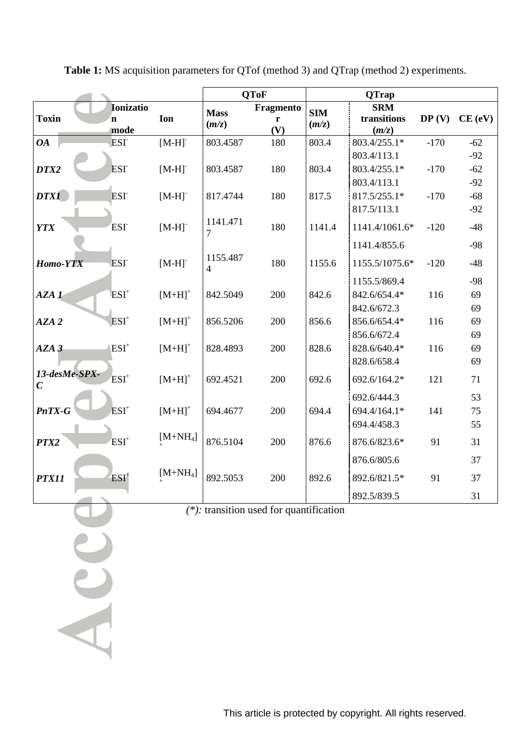|                                   |                                         |                      |                            | <b>QToF</b>           |                     | <b>QTrap</b>                       |        |        |
|-----------------------------------|-----------------------------------------|----------------------|----------------------------|-----------------------|---------------------|------------------------------------|--------|--------|
| <b>Toxin</b>                      | <b>Ionizatio</b><br>$\mathbf n$<br>mode | Ion                  | <b>Mass</b><br>(m/z)       | Fragmento<br>r<br>(V) | <b>SIM</b><br>(m/z) | <b>SRM</b><br>transitions<br>(m/z) | DP(V)  | CE(eV) |
| <b>OA</b>                         | <b>ESI</b>                              | $[M-H]$              | 803.4587                   | 180                   | 803.4               | 803.4/255.1*                       | $-170$ | $-62$  |
|                                   |                                         |                      |                            |                       |                     | 803.4/113.1                        |        | $-92$  |
| DTX2                              | <b>ESI</b>                              | $[M-H]$ <sup>-</sup> | 803.4587                   | 180                   | 803.4               | 803.4/255.1*                       | $-170$ | $-62$  |
|                                   |                                         |                      |                            |                       |                     | 803.4/113.1                        |        | $-92$  |
| <b>DTX1</b>                       | <b>ESI</b>                              | $[M-H]$              | 817.4744                   | 180                   | 817.5               | 817.5/255.1*                       | $-170$ | $-68$  |
|                                   |                                         |                      |                            |                       |                     | 817.5/113.1                        |        | $-92$  |
| <b>YTX</b>                        | <b>ESI</b>                              | $[M-H]$              | 1141.471<br>7              | 180                   | 1141.4              | 1141.4/1061.6*                     | $-120$ | $-48$  |
|                                   |                                         |                      |                            |                       |                     | 1141.4/855.6                       |        | $-98$  |
| Homo-YTX                          | <b>ESI</b>                              | $[M-H]$              | 1155.487<br>$\overline{4}$ | 180                   | 1155.6              | 1155.5/1075.6*                     | $-120$ | $-48$  |
|                                   |                                         |                      |                            |                       |                     | 1155.5/869.4                       |        | $-98$  |
| AZA <sub>1</sub>                  | $ESI+$                                  | $[M+H]$ <sup>+</sup> | 842.5049                   | 200                   | 842.6               | 842.6/654.4*                       | 116    | 69     |
|                                   |                                         |                      |                            |                       |                     | 842.6/672.3                        |        | 69     |
| AZA <sub>2</sub>                  | $ESI+$                                  | $[M+H]$ <sup>+</sup> | 856.5206                   | 200                   | 856.6               | 856.6/654.4*                       | 116    | 69     |
|                                   |                                         |                      |                            |                       |                     | 856.6/672.4                        |        | 69     |
| AZA <sub>3</sub>                  | $ESI+$                                  | $[M+H]$ <sup>+</sup> | 828.4893                   | 200                   | 828.6               | 828.6/640.4*                       | 116    | 69     |
|                                   |                                         |                      |                            |                       |                     | 828.6/658.4                        |        | 69     |
| 13-desMe-SPX-<br>$\boldsymbol{C}$ | $ESI+$                                  | $[M+H]$ <sup>+</sup> | 692.4521                   | 200                   | 692.6               | 692.6/164.2*                       | 121    | 71     |
|                                   |                                         |                      |                            |                       |                     | 692.6/444.3                        |        | 53     |
| PnTX-G                            | $ESI+$                                  | $[M+H]$ <sup>+</sup> | 694.4677                   | 200                   | 694.4               | 694.4/164.1*                       | 141    | 75     |
|                                   |                                         |                      |                            |                       |                     | 694.4/458.3                        |        | 55     |
| PTX2                              | $ESI+$                                  | $[M+NH4]$            | 876.5104                   | 200                   | 876.6               | 876.6/823.6*                       | 91     | 31     |
|                                   |                                         |                      |                            |                       |                     | 876.6/805.6                        |        | 37     |
| PTX11                             | $ESI+$                                  | $[M+NH4]$            | 892.5053                   | 200                   | 892.6               | 892.6/821.5*                       | 91     | 37     |
|                                   |                                         |                      |                            |                       |                     | 892.5/839.5                        |        | 31     |

**Table 1:** MS acquisition parameters for QTof (method 3) and QTrap (method 2) experiments.

*(\*):* transition used for quantification

Acce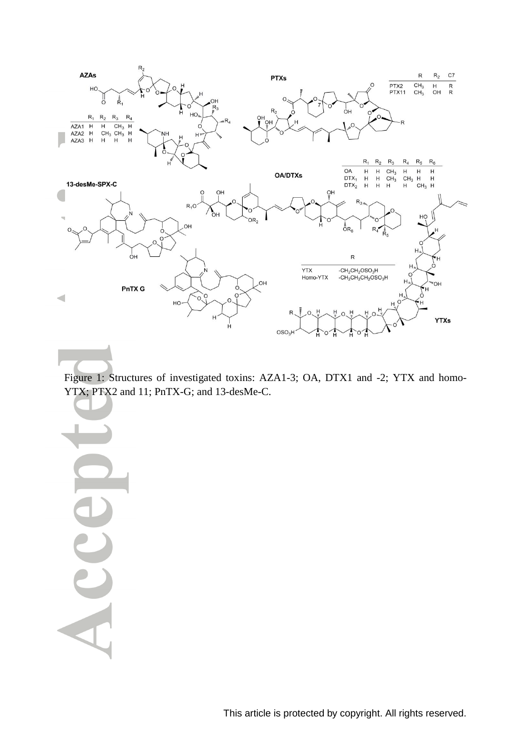

Figure 1: Structures of investigated toxins: AZA1-3; OA, DTX1 and -2; YTX and homo-YTX; PTX2 and 11; PnTX-G; and 13-desMe-C.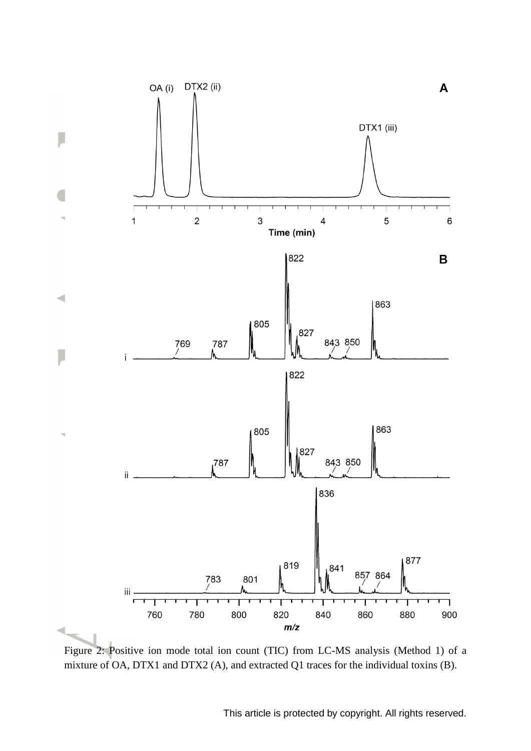

Figure 2: Positive ion mode total ion count (TIC) from LC-MS analysis (Method 1) of a mixture of OA, DTX1 and DTX2 (A), and extracted Q1 traces for the individual toxins (B).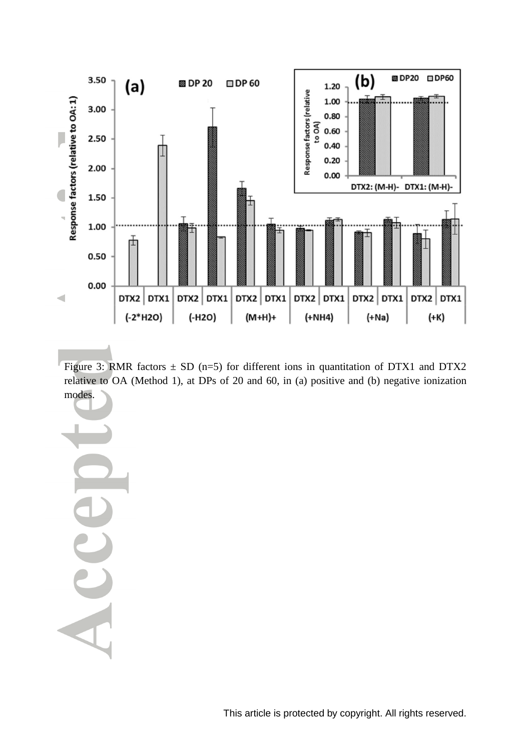

Figure 3: RMR factors  $\pm$  SD (n=5) for different ions in quantitation of DTX1 and DTX2 relative to OA (Method 1), at DPs of 20 and 60, in (a) positive and (b) negative ionization modes.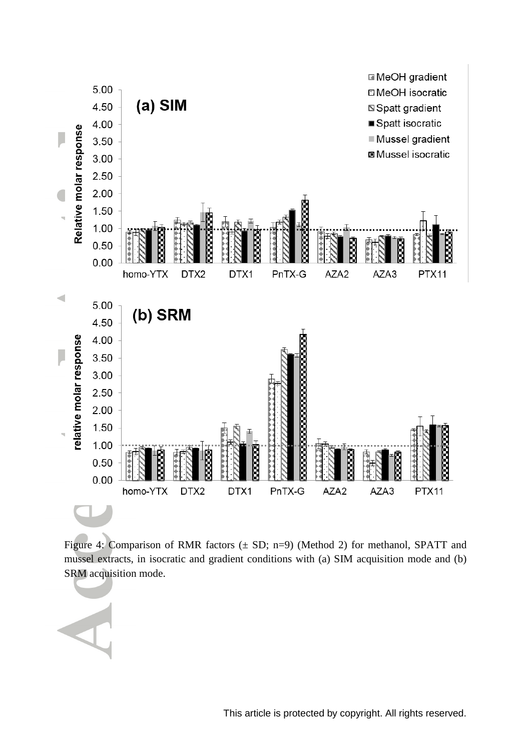

Figure 4: Comparison of RMR factors  $(\pm SD; n=9)$  (Method 2) for methanol, SPATT and mussel extracts, in isocratic and gradient conditions with (a) SIM acquisition mode and (b) SRM acquisition mode.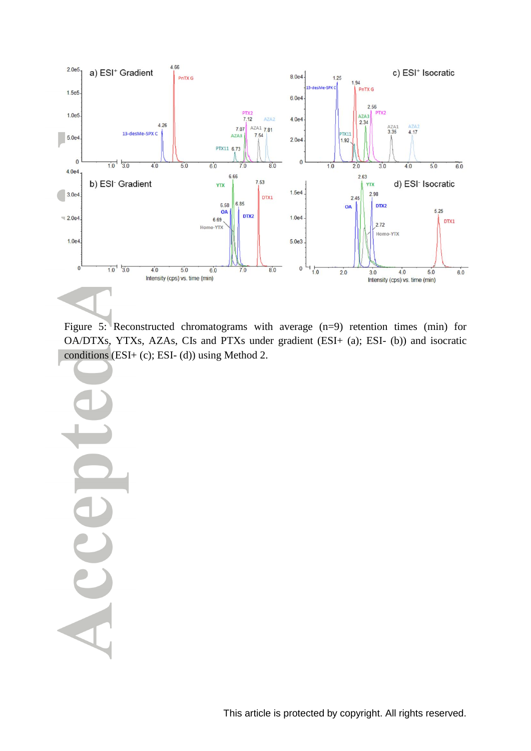

Figure 5: Reconstructed chromatograms with average (n=9) retention times (min) for OA/DTXs, YTXs, AZAs, CIs and PTXs under gradient (ESI+ (a); ESI- (b)) and isocratic conditions (ESI+ (c); ESI- (d)) using Method 2.

J ACC